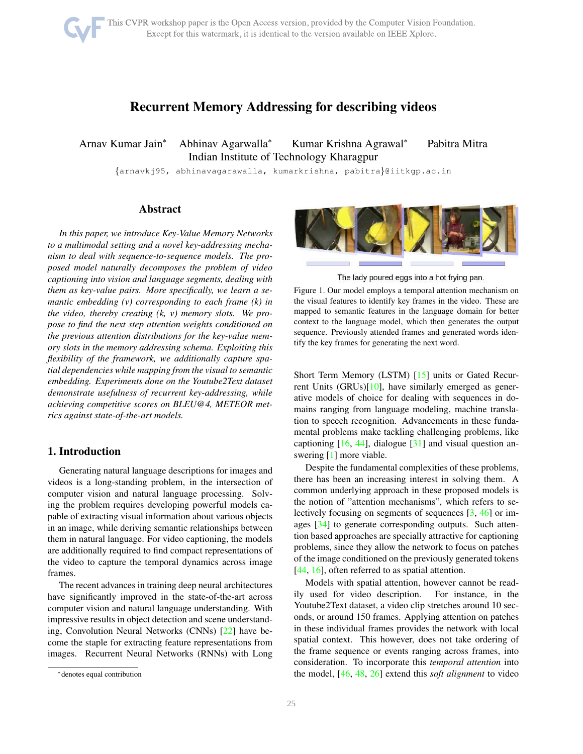# Recurrent Memory Addressing for describing videos

<span id="page-0-1"></span>Arnav Kumar Jain<sup>∗</sup> Abhinav Agarwalla<sup>∗</sup> Kumar Krishna Agrawal<sup>∗</sup> Pabitra Mitra Indian Institute of Technology Kharagpur

{arnavkj95, abhinavagarawalla, kumarkrishna, pabitra}@iitkgp.ac.in

# Abstract

*In this paper, we introduce Key-Value Memory Networks to a multimodal setting and a novel key-addressing mechanism to deal with sequence-to-sequence models. The proposed model naturally decomposes the problem of video captioning into vision and language segments, dealing with them as key-value pairs. More specifically, we learn a semantic embedding (v) corresponding to each frame (k) in the video, thereby creating (k, v) memory slots. We propose to find the next step attention weights conditioned on the previous attention distributions for the key-value memory slots in the memory addressing schema. Exploiting this flexibility of the framework, we additionally capture spatial dependencies while mapping from the visual to semantic embedding. Experiments done on the Youtube2Text dataset demonstrate usefulness of recurrent key-addressing, while achieving competitive scores on BLEU@4, METEOR metrics against state-of-the-art models.*

### <span id="page-0-0"></span>1. Introduction

Generating natural language descriptions for images and videos is a long-standing problem, in the intersection of computer vision and natural language processing. Solving the problem requires developing powerful models capable of extracting visual information about various objects in an image, while deriving semantic relationships between them in natural language. For video captioning, the models are additionally required to find compact representations of the video to capture the temporal dynamics across image frames.

The recent advances in training deep neural architectures have significantly improved in the state-of-the-art across computer vision and natural language understanding. With impressive results in object detection and scene understanding, Convolution Neural Networks (CNNs) [\[22\]](#page-7-0) have become the staple for extracting feature representations from images. Recurrent Neural Networks (RNNs) with Long



The lady poured eggs into a hot frying pan.

Figure 1. Our model employs a temporal attention mechanism on the visual features to identify key frames in the video. These are mapped to semantic features in the language domain for better context to the language model, which then generates the output sequence. Previously attended frames and generated words identify the key frames for generating the next word.

Short Term Memory (LSTM) [\[15\]](#page-6-0) units or Gated Recurrent Units (GRUs)[\[10\]](#page-6-1), have similarly emerged as generative models of choice for dealing with sequences in domains ranging from language modeling, machine translation to speech recognition. Advancements in these fundamental problems make tackling challenging problems, like captioning  $[16, 44]$  $[16, 44]$  $[16, 44]$ , dialogue  $[31]$  and visual question an-swering [\[1\]](#page-6-3) more viable.

Despite the fundamental complexities of these problems, there has been an increasing interest in solving them. A common underlying approach in these proposed models is the notion of "attention mechanisms", which refers to selectively focusing on segments of sequences [\[3,](#page-6-4) [46\]](#page-7-3) or images [\[34\]](#page-7-4) to generate corresponding outputs. Such attention based approaches are specially attractive for captioning problems, since they allow the network to focus on patches of the image conditioned on the previously generated tokens [\[44,](#page-7-1) [16\]](#page-6-2), often referred to as spatial attention.

Models with spatial attention, however cannot be readily used for video description. For instance, in the Youtube2Text dataset, a video clip stretches around 10 seconds, or around 150 frames. Applying attention on patches in these individual frames provides the network with local spatial context. This however, does not take ordering of the frame sequence or events ranging across frames, into consideration. To incorporate this *temporal attention* into the model, [\[46,](#page-7-3) [48,](#page-7-5) [26\]](#page-7-6) extend this *soft alignment* to video

<sup>∗</sup>denotes equal contribution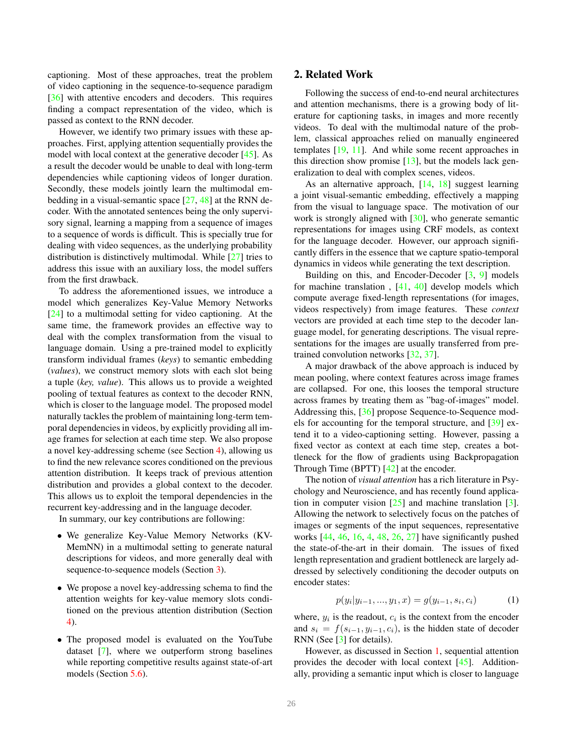<span id="page-1-0"></span>captioning. Most of these approaches, treat the problem of video captioning in the sequence-to-sequence paradigm [\[36\]](#page-7-7) with attentive encoders and decoders. This requires finding a compact representation of the video, which is passed as context to the RNN decoder.

However, we identify two primary issues with these approaches. First, applying attention sequentially provides the model with local context at the generative decoder [\[45\]](#page-7-8). As a result the decoder would be unable to deal with long-term dependencies while captioning videos of longer duration. Secondly, these models jointly learn the multimodal embedding in a visual-semantic space  $[27, 48]$  $[27, 48]$  at the RNN decoder. With the annotated sentences being the only supervisory signal, learning a mapping from a sequence of images to a sequence of words is difficult. This is specially true for dealing with video sequences, as the underlying probability distribution is distinctively multimodal. While [\[27\]](#page-7-9) tries to address this issue with an auxiliary loss, the model suffers from the first drawback.

To address the aforementioned issues, we introduce a model which generalizes Key-Value Memory Networks [\[24\]](#page-7-10) to a multimodal setting for video captioning. At the same time, the framework provides an effective way to deal with the complex transformation from the visual to language domain. Using a pre-trained model to explicitly transform individual frames (*keys*) to semantic embedding (*values*), we construct memory slots with each slot being a tuple (*key, value*). This allows us to provide a weighted pooling of textual features as context to the decoder RNN, which is closer to the language model. The proposed model naturally tackles the problem of maintaining long-term temporal dependencies in videos, by explicitly providing all image frames for selection at each time step. We also propose a novel key-addressing scheme (see Section [4\)](#page-3-0), allowing us to find the new relevance scores conditioned on the previous attention distribution. It keeps track of previous attention distribution and provides a global context to the decoder. This allows us to exploit the temporal dependencies in the recurrent key-addressing and in the language decoder.

In summary, our key contributions are following:

- We generalize Key-Value Memory Networks (KV-MemNN) in a multimodal setting to generate natural descriptions for videos, and more generally deal with sequence-to-sequence models (Section [3\)](#page-2-0).
- We propose a novel key-addressing schema to find the attention weights for key-value memory slots conditioned on the previous attention distribution (Section [4\)](#page-3-0).
- The proposed model is evaluated on the YouTube dataset [\[7\]](#page-6-5), where we outperform strong baselines while reporting competitive results against state-of-art models (Section [5.6\)](#page-5-0).

## 2. Related Work

Following the success of end-to-end neural architectures and attention mechanisms, there is a growing body of literature for captioning tasks, in images and more recently videos. To deal with the multimodal nature of the problem, classical approaches relied on manually engineered templates [\[19,](#page-6-6) [11\]](#page-6-7). And while some recent approaches in this direction show promise  $[13]$ , but the models lack generalization to deal with complex scenes, videos.

As an alternative approach, [\[14,](#page-6-9) [18\]](#page-6-10) suggest learning a joint visual-semantic embedding, effectively a mapping from the visual to language space. The motivation of our work is strongly aligned with [\[30\]](#page-7-11), who generate semantic representations for images using CRF models, as context for the language decoder. However, our approach significantly differs in the essence that we capture spatio-temporal dynamics in videos while generating the text description.

Building on this, and Encoder-Decoder [\[3,](#page-6-4) [9\]](#page-6-11) models for machine translation,  $[41, 40]$  $[41, 40]$  $[41, 40]$  develop models which compute average fixed-length representations (for images, videos respectively) from image features. These *context* vectors are provided at each time step to the decoder language model, for generating descriptions. The visual representations for the images are usually transferred from pretrained convolution networks [\[32,](#page-7-14) [37\]](#page-7-15).

A major drawback of the above approach is induced by mean pooling, where context features across image frames are collapsed. For one, this looses the temporal structure across frames by treating them as "bag-of-images" model. Addressing this, [\[36\]](#page-7-7) propose Sequence-to-Sequence models for accounting for the temporal structure, and [\[39\]](#page-7-16) extend it to a video-captioning setting. However, passing a fixed vector as context at each time step, creates a bottleneck for the flow of gradients using Backpropagation Through Time (BPTT) [\[42\]](#page-7-17) at the encoder.

The notion of *visual attention* has a rich literature in Psychology and Neuroscience, and has recently found application in computer vision  $\lceil 25 \rceil$  and machine translation  $\lceil 3 \rceil$ . Allowing the network to selectively focus on the patches of images or segments of the input sequences, representative works [\[44,](#page-7-1) [46,](#page-7-3) [16,](#page-6-2) [4,](#page-6-12) [48,](#page-7-5) [26,](#page-7-6) [27\]](#page-7-9) have significantly pushed the state-of-the-art in their domain. The issues of fixed length representation and gradient bottleneck are largely addressed by selectively conditioning the decoder outputs on encoder states:

$$
p(y_i|y_{i-1},...,y_1,x) = g(y_{i-1},s_i,c_i)
$$
 (1)

where,  $y_i$  is the readout,  $c_i$  is the context from the encoder and  $s_i = f(s_{i-1}, y_{i-1}, c_i)$ , is the hidden state of decoder RNN (See [\[3\]](#page-6-4) for details).

However, as discussed in Section [1,](#page-0-0) sequential attention provides the decoder with local context [\[45\]](#page-7-8). Additionally, providing a semantic input which is closer to language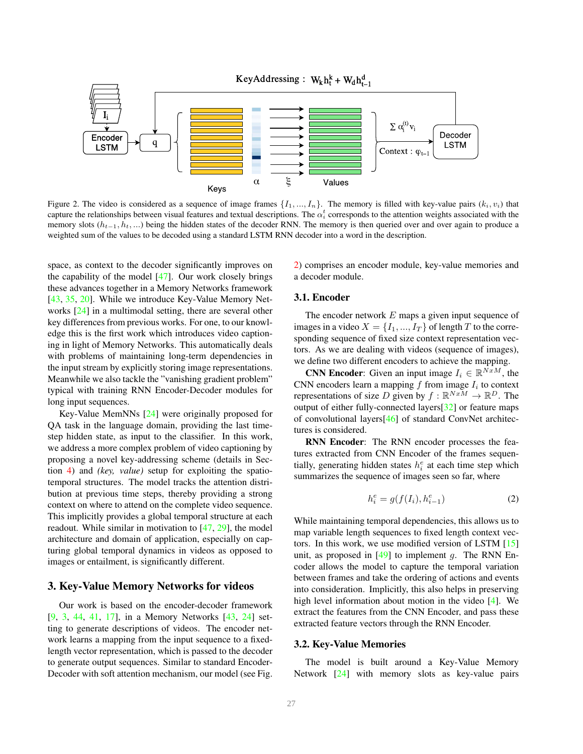<span id="page-2-2"></span>

<span id="page-2-1"></span>Figure 2. The video is considered as a sequence of image frames  $\{I_1, ..., I_n\}$ . The memory is filled with key-value pairs  $(k_i, v_i)$  that capture the relationships between visual features and textual descriptions. The  $\alpha_i^t$  corresponds to the attention weights associated with the memory slots  $(h_{t-1}, h_t, ...)$  being the hidden states of the decoder RNN. The memory is then queried over and over again to produce a weighted sum of the values to be decoded using a standard LSTM RNN decoder into a word in the description.

space, as context to the decoder significantly improves on the capability of the model  $[47]$ . Our work closely brings these advances together in a Memory Networks framework [\[43,](#page-7-20) [35,](#page-7-21) [20\]](#page-7-22). While we introduce Key-Value Memory Networks [\[24\]](#page-7-10) in a multimodal setting, there are several other key differences from previous works. For one, to our knowledge this is the first work which introduces video captioning in light of Memory Networks. This automatically deals with problems of maintaining long-term dependencies in the input stream by explicitly storing image representations. Meanwhile we also tackle the "vanishing gradient problem" typical with training RNN Encoder-Decoder modules for long input sequences.

Key-Value MemNNs [\[24\]](#page-7-10) were originally proposed for QA task in the language domain, providing the last timestep hidden state, as input to the classifier. In this work, we address a more complex problem of video captioning by proposing a novel key-addressing scheme (details in Section [4\)](#page-3-0) and *(key, value)* setup for exploiting the spatiotemporal structures. The model tracks the attention distribution at previous time steps, thereby providing a strong context on where to attend on the complete video sequence. This implicitly provides a global temporal structure at each readout. While similar in motivation to [\[47,](#page-7-19) [29\]](#page-7-23), the model architecture and domain of application, especially on capturing global temporal dynamics in videos as opposed to images or entailment, is significantly different.

### <span id="page-2-0"></span>3. Key-Value Memory Networks for videos

Our work is based on the encoder-decoder framework [\[9,](#page-6-11) [3,](#page-6-4) [44,](#page-7-1) [41,](#page-7-12) [17\]](#page-6-13), in a Memory Networks [\[43,](#page-7-20) [24\]](#page-7-10) setting to generate descriptions of videos. The encoder network learns a mapping from the input sequence to a fixedlength vector representation, which is passed to the decoder to generate output sequences. Similar to standard Encoder-Decoder with soft attention mechanism, our model (see Fig.

[2\)](#page-2-1) comprises an encoder module, key-value memories and a decoder module.

### 3.1. Encoder

The encoder network  $E$  maps a given input sequence of images in a video  $X = \{I_1, ..., I_T\}$  of length T to the corresponding sequence of fixed size context representation vectors. As we are dealing with videos (sequence of images), we define two different encoders to achieve the mapping.

**CNN Encoder:** Given an input image  $I_i \in \mathbb{R}^{N x M}$ , the CNN encoders learn a mapping  $f$  from image  $I_i$  to context representations of size D given by  $f : \mathbb{R}^{NxM} \to \mathbb{R}^D$ . The output of either fully-connected layers[\[32\]](#page-7-14) or feature maps of convolutional layers[\[46\]](#page-7-3) of standard ConvNet architectures is considered.

RNN Encoder: The RNN encoder processes the features extracted from CNN Encoder of the frames sequentially, generating hidden states  $h_i^e$  at each time step which summarizes the sequence of images seen so far, where

$$
h_i^e = g(f(I_i), h_{i-1}^e)
$$
 (2)

While maintaining temporal dependencies, this allows us to map variable length sequences to fixed length context vectors. In this work, we use modified version of LSTM [\[15\]](#page-6-0) unit, as proposed in  $[49]$  to implement g. The RNN Encoder allows the model to capture the temporal variation between frames and take the ordering of actions and events into consideration. Implicitly, this also helps in preserving high level information about motion in the video [\[4\]](#page-6-12). We extract the features from the CNN Encoder, and pass these extracted feature vectors through the RNN Encoder.

### 3.2. Key-Value Memories

The model is built around a Key-Value Memory Network [\[24\]](#page-7-10) with memory slots as key-value pairs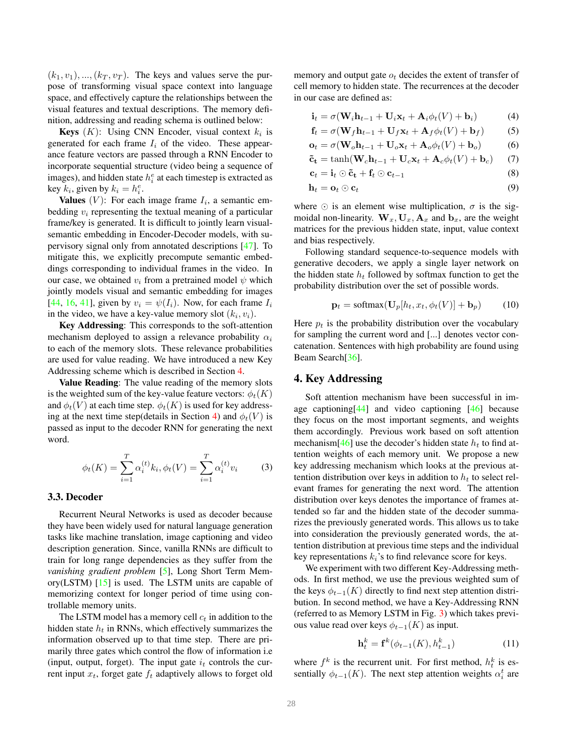<span id="page-3-1"></span> $(k_1, v_1), ..., (k_T, v_T)$ . The keys and values serve the purpose of transforming visual space context into language space, and effectively capture the relationships between the visual features and textual descriptions. The memory definition, addressing and reading schema is outlined below:

**Keys**  $(K)$ : Using CNN Encoder, visual context  $k_i$  is generated for each frame  $I_i$  of the video. These appearance feature vectors are passed through a RNN Encoder to incorporate sequential structure (video being a sequence of images), and hidden state  $h_i^e$  at each timestep is extracted as key  $k_i$ , given by  $k_i = h_i^e$ .

**Values** (V): For each image frame  $I_i$ , a semantic embedding  $v_i$  representing the textual meaning of a particular frame/key is generated. It is difficult to jointly learn visualsemantic embedding in Encoder-Decoder models, with supervisory signal only from annotated descriptions [\[47\]](#page-7-19). To mitigate this, we explicitly precompute semantic embeddings corresponding to individual frames in the video. In our case, we obtained  $v_i$  from a pretrained model  $\psi$  which jointly models visual and semantic embedding for images [\[44,](#page-7-1) [16,](#page-6-2) [41\]](#page-7-12), given by  $v_i = \psi(I_i)$ . Now, for each frame  $I_i$ in the video, we have a key-value memory slot  $(k_i, v_i)$ .

Key Addressing: This corresponds to the soft-attention mechanism deployed to assign a relevance probability  $\alpha_i$ to each of the memory slots. These relevance probabilities are used for value reading. We have introduced a new Key Addressing scheme which is described in Section [4.](#page-3-0)

Value Reading: The value reading of the memory slots is the weighted sum of the key-value feature vectors:  $\phi_t(K)$ and  $\phi_t(V)$  at each time step.  $\phi_t(K)$  is used for key address-ing at the next time step(details in Section [4\)](#page-3-0) and  $\phi_t(V)$  is passed as input to the decoder RNN for generating the next word.

$$
\phi_t(K) = \sum_{i=1}^T \alpha_i^{(t)} k_i, \phi_t(V) = \sum_{i=1}^T \alpha_i^{(t)} v_i \tag{3}
$$

#### 3.3. Decoder

Recurrent Neural Networks is used as decoder because they have been widely used for natural language generation tasks like machine translation, image captioning and video description generation. Since, vanilla RNNs are difficult to train for long range dependencies as they suffer from the *vanishing gradient problem* [\[5\]](#page-6-14), Long Short Term Memory(LSTM) [\[15\]](#page-6-0) is used. The LSTM units are capable of memorizing context for longer period of time using controllable memory units.

The LSTM model has a memory cell  $c_t$  in addition to the hidden state  $h_t$  in RNNs, which effectively summarizes the information observed up to that time step. There are primarily three gates which control the flow of information i.e (input, output, forget). The input gate  $i_t$  controls the current input  $x_t$ , forget gate  $f_t$  adaptively allows to forget old memory and output gate  $o_t$  decides the extent of transfer of cell memory to hidden state. The recurrences at the decoder in our case are defined as:

$$
\mathbf{i}_t = \sigma(\mathbf{W}_i \mathbf{h}_{t-1} + \mathbf{U}_i \mathbf{x}_t + \mathbf{A}_i \phi_t(V) + \mathbf{b}_i)
$$
(4)

$$
\mathbf{f}_t = \sigma(\mathbf{W}_f \mathbf{h}_{t-1} + \mathbf{U}_f \mathbf{x}_t + \mathbf{A}_f \phi_t(V) + \mathbf{b}_f)
$$
 (5)

$$
\mathbf{o}_t = \sigma(\mathbf{W}_o \mathbf{h}_{t-1} + \mathbf{U}_o \mathbf{x}_t + \mathbf{A}_o \phi_t(V) + \mathbf{b}_o)
$$
(6)

$$
\tilde{\mathbf{c}}_{t} = \tanh(\mathbf{W}_{c}\mathbf{h}_{t-1} + \mathbf{U}_{c}\mathbf{x}_{t} + \mathbf{A}_{c}\phi_{t}(V) + \mathbf{b}_{c}) \tag{7}
$$

$$
\mathbf{c}_t = \mathbf{i}_t \odot \mathbf{\tilde{c}}_{\mathbf{t}} + \mathbf{f}_t \odot \mathbf{c}_{t-1} \tag{8}
$$

$$
\mathbf{h}_t = \mathbf{o}_t \odot \mathbf{c}_t \tag{9}
$$

where  $\odot$  is an element wise multiplication,  $\sigma$  is the sigmoidal non-linearity.  $W_x$ ,  $U_x$ ,  $A_x$  and  $b_x$ , are the weight matrices for the previous hidden state, input, value context and bias respectively.

Following standard sequence-to-sequence models with generative decoders, we apply a single layer network on the hidden state  $h_t$  followed by softmax function to get the probability distribution over the set of possible words.

$$
\mathbf{p}_t = \text{softmax}(\mathbf{U}_p[h_t, x_t, \phi_t(V)] + \mathbf{b}_p)
$$
(10)

Here  $p_t$  is the probability distribution over the vocabulary for sampling the current word and [...] denotes vector concatenation. Sentences with high probability are found using Beam Search<sup>[\[36\]](#page-7-7)</sup>.

### <span id="page-3-0"></span>4. Key Addressing

Soft attention mechanism have been successful in image captioning  $[44]$  and video captioning  $[46]$  because they focus on the most important segments, and weights them accordingly. Previous work based on soft attention mechanism[\[46\]](#page-7-3) use the decoder's hidden state  $h_t$  to find attention weights of each memory unit. We propose a new key addressing mechanism which looks at the previous attention distribution over keys in addition to  $h_t$  to select relevant frames for generating the next word. The attention distribution over keys denotes the importance of frames attended so far and the hidden state of the decoder summarizes the previously generated words. This allows us to take into consideration the previously generated words, the attention distribution at previous time steps and the individual key representations  $k_i$ 's to find relevance score for keys.

We experiment with two different Key-Addressing methods. In first method, we use the previous weighted sum of the keys  $\phi_{t-1}(K)$  directly to find next step attention distribution. In second method, we have a Key-Addressing RNN (referred to as Memory LSTM in Fig. [3\)](#page-4-0) which takes previous value read over keys  $\phi_{t-1}(K)$  as input.

$$
\mathbf{h}_t^k = \mathbf{f}^k(\phi_{t-1}(K), h_{t-1}^k)
$$
 (11)

where  $f^k$  is the recurrent unit. For first method,  $h_t^k$  is essentially  $\phi_{t-1}(K)$ . The next step attention weights  $\alpha_i^t$  are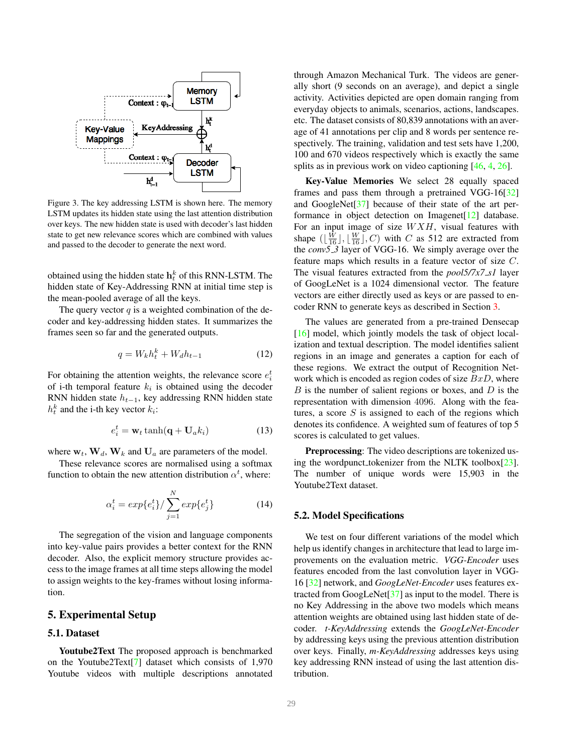<span id="page-4-2"></span>

<span id="page-4-0"></span>Figure 3. The key addressing LSTM is shown here. The memory LSTM updates its hidden state using the last attention distribution over keys. The new hidden state is used with decoder's last hidden state to get new relevance scores which are combined with values and passed to the decoder to generate the next word.

obtained using the hidden state  $\mathbf{h}_t^k$  of this RNN-LSTM. The hidden state of Key-Addressing RNN at initial time step is the mean-pooled average of all the keys.

The query vector  $q$  is a weighted combination of the decoder and key-addressing hidden states. It summarizes the frames seen so far and the generated outputs.

$$
q = W_k h_t^k + W_d h_{t-1} \tag{12}
$$

For obtaining the attention weights, the relevance score  $e_i^t$ of i-th temporal feature  $k_i$  is obtained using the decoder RNN hidden state  $h_{t-1}$ , key addressing RNN hidden state  $h_t^k$  and the i-th key vector  $k_i$ :

$$
e_i^t = \mathbf{w}_t \tanh(\mathbf{q} + \mathbf{U}_a k_i) \tag{13}
$$

where  $w_t$ ,  $W_d$ ,  $W_k$  and  $U_a$  are parameters of the model.

These relevance scores are normalised using a softmax function to obtain the new attention distribution  $\alpha^t$ , where:

$$
\alpha_i^t = exp\{e_i^t\} / \sum_{j=1}^N exp\{e_j^t\} \tag{14}
$$

The segregation of the vision and language components into key-value pairs provides a better context for the RNN decoder. Also, the explicit memory structure provides access to the image frames at all time steps allowing the model to assign weights to the key-frames without losing information.

### 5. Experimental Setup

### <span id="page-4-1"></span>5.1. Dataset

Youtube2Text The proposed approach is benchmarked on the Youtube2Text[\[7\]](#page-6-5) dataset which consists of 1,970 Youtube videos with multiple descriptions annotated

through Amazon Mechanical Turk. The videos are generally short (9 seconds on an average), and depict a single activity. Activities depicted are open domain ranging from everyday objects to animals, scenarios, actions, landscapes. etc. The dataset consists of 80,839 annotations with an average of 41 annotations per clip and 8 words per sentence respectively. The training, validation and test sets have 1,200, 100 and 670 videos respectively which is exactly the same splits as in previous work on video captioning [\[46,](#page-7-3) [4,](#page-6-12) [26\]](#page-7-6).

Key-Value Memories We select 28 equally spaced frames and pass them through a pretrained VGG-16[\[32\]](#page-7-14) and GoogleNet[\[37\]](#page-7-15) because of their state of the art per-formance in object detection on Imagenet<sup>[\[12\]](#page-6-15)</sup> database. For an input image of size  $W X H$ , visual features with shape  $(\lfloor \frac{W}{16} \rfloor, \lfloor \frac{W}{16} \rfloor, C)$  with C as 512 are extracted from the *conv5 3* layer of VGG-16. We simply average over the feature maps which results in a feature vector of size C. The visual features extracted from the *pool5/7x7 s1* layer of GoogLeNet is a 1024 dimensional vector. The feature vectors are either directly used as keys or are passed to encoder RNN to generate keys as described in Section [3.](#page-2-0)

The values are generated from a pre-trained Densecap [\[16\]](#page-6-2) model, which jointly models the task of object localization and textual description. The model identifies salient regions in an image and generates a caption for each of these regions. We extract the output of Recognition Network which is encoded as region codes of size  $BxD$ , where  $B$  is the number of salient regions or boxes, and  $D$  is the representation with dimension 4096. Along with the features, a score  $S$  is assigned to each of the regions which denotes its confidence. A weighted sum of features of top 5 scores is calculated to get values.

Preprocessing: The video descriptions are tokenized using the wordpunct tokenizer from the NLTK toolbox[\[23\]](#page-7-25). The number of unique words were 15,903 in the Youtube2Text dataset.

#### 5.2. Model Specifications

We test on four different variations of the model which help us identify changes in architecture that lead to large improvements on the evaluation metric. *VGG-Encoder* uses features encoded from the last convolution layer in VGG-16 [\[32\]](#page-7-14) network, and *GoogLeNet-Encoder* uses features extracted from GoogLeNet[\[37\]](#page-7-15) as input to the model. There is no Key Addressing in the above two models which means attention weights are obtained using last hidden state of decoder. *t-KeyAddressing* extends the *GoogLeNet-Encoder* by addressing keys using the previous attention distribution over keys. Finally, *m-KeyAddressing* addresses keys using key addressing RNN instead of using the last attention distribution.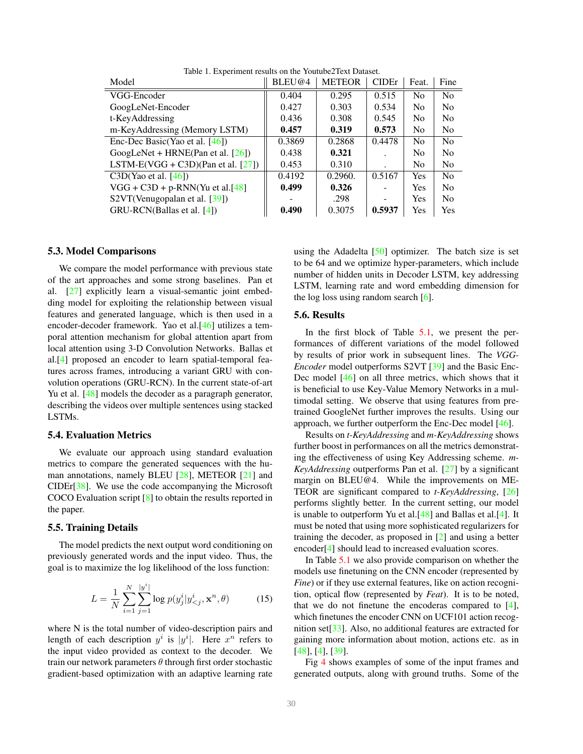<span id="page-5-1"></span>

| raoic 1, Emperiment results on the routable rent Batasca<br>Model | BLEU@4 | <b>METEOR</b> | <b>CIDE</b> r | Feat.          | Fine           |
|-------------------------------------------------------------------|--------|---------------|---------------|----------------|----------------|
| VGG-Encoder                                                       | 0.404  | 0.295         | 0.515         | N <sub>0</sub> | N <sub>0</sub> |
| GoogLeNet-Encoder                                                 | 0.427  | 0.303         | 0.534         | N <sub>0</sub> | N <sub>0</sub> |
| t-KeyAddressing                                                   | 0.436  | 0.308         | 0.545         | N <sub>0</sub> | N <sub>0</sub> |
| m-KeyAddressing (Memory LSTM)                                     | 0.457  | 0.319         | 0.573         | N <sub>0</sub> | N <sub>0</sub> |
| Enc-Dec Basic(Yao et al. $[46]$ )                                 | 0.3869 | 0.2868        | 0.4478        | N <sub>0</sub> | No             |
| GoogLeNet + HRNE(Pan et al. $[26]$ )                              | 0.438  | 0.321         |               | N <sub>0</sub> | N <sub>0</sub> |
| LSTM-E(VGG + C3D)(Pan et al. $[27]$ )                             | 0.453  | 0.310         |               | N <sub>0</sub> | N <sub>0</sub> |
| C3D(Yao et al. $[46]$ )                                           | 0.4192 | 0.2960.       | 0.5167        | Yes            | N <sub>0</sub> |
| $VGG + C3D + p-RNN(Yu et al.[48])$                                | 0.499  | 0.326         |               | <b>Yes</b>     | N <sub>0</sub> |
| S2VT(Venugopalan et al. [39])                                     |        | .298          |               | <b>Yes</b>     | N <sub>0</sub> |
| GRU-RCN(Ballas et al. [4])                                        | 0.490  | 0.3075        | 0.5937        | Yes            | Yes            |

Table 1. Experiment results on the Youtube2Text Dataset.

#### 5.3. Model Comparisons

We compare the model performance with previous state of the art approaches and some strong baselines. Pan et al. [\[27\]](#page-7-9) explicitly learn a visual-semantic joint embedding model for exploiting the relationship between visual features and generated language, which is then used in a encoder-decoder framework. Yao et al.[\[46\]](#page-7-3) utilizes a temporal attention mechanism for global attention apart from local attention using 3-D Convolution Networks. Ballas et al.[\[4\]](#page-6-12) proposed an encoder to learn spatial-temporal features across frames, introducing a variant GRU with convolution operations (GRU-RCN). In the current state-of-art Yu et al. [\[48\]](#page-7-5) models the decoder as a paragraph generator, describing the videos over multiple sentences using stacked LSTMs.

### 5.4. Evaluation Metrics

We evaluate our approach using standard evaluation metrics to compare the generated sequences with the human annotations, namely BLEU [\[28\]](#page-7-26), METEOR [\[21\]](#page-7-27) and CIDEr[\[38\]](#page-7-28). We use the code accompanying the Microsoft COCO Evaluation script [\[8\]](#page-6-16) to obtain the results reported in the paper.

#### 5.5. Training Details

The model predicts the next output word conditioning on previously generated words and the input video. Thus, the goal is to maximize the log likelihood of the loss function:

$$
L = \frac{1}{N} \sum_{i=1}^{N} \sum_{j=1}^{|y^i|} \log p(y_j^i | y_{ (15)
$$

where N is the total number of video-description pairs and length of each description  $y^i$  is  $|y^i|$ . Here  $x^n$  refers to the input video provided as context to the decoder. We train our network parameters  $\theta$  through first order stochastic gradient-based optimization with an adaptive learning rate using the Adadelta  $[50]$  optimizer. The batch size is set to be 64 and we optimize hyper-parameters, which include number of hidden units in Decoder LSTM, key addressing LSTM, learning rate and word embedding dimension for the log loss using random search  $[6]$ .

#### <span id="page-5-0"></span>5.6. Results

In the first block of Table  $5.1$ , we present the performances of different variations of the model followed by results of prior work in subsequent lines. The *VGG-Encoder* model outperforms S2VT [\[39\]](#page-7-16) and the Basic Enc-Dec model [\[46\]](#page-7-3) on all three metrics, which shows that it is beneficial to use Key-Value Memory Networks in a multimodal setting. We observe that using features from pretrained GoogleNet further improves the results. Using our approach, we further outperform the Enc-Dec model [\[46\]](#page-7-3).

Results on *t-KeyAddressing* and *m-KeyAddressing* shows further boost in performances on all the metrics demonstrating the effectiveness of using Key Addressing scheme. *m-KeyAddressing* outperforms Pan et al. [\[27\]](#page-7-9) by a significant margin on BLEU@4. While the improvements on ME-TEOR are significant compared to *t-KeyAddressing*, [\[26\]](#page-7-6) performs slightly better. In the current setting, our model is unable to outperform Yu et al.[\[48\]](#page-7-5) and Ballas et al.[\[4\]](#page-6-12). It must be noted that using more sophisticated regularizers for training the decoder, as proposed in [\[2\]](#page-6-18) and using a better encoder[\[4\]](#page-6-12) should lead to increased evaluation scores.

In Table [5.1](#page-4-1) we also provide comparison on whether the models use finetuning on the CNN encoder (represented by *Fine*) or if they use external features, like on action recognition, optical flow (represented by *Feat*). It is to be noted, that we do not finetune the encoderas compared to [\[4\]](#page-6-12), which finetunes the encoder CNN on UCF101 action recognition set[\[33\]](#page-7-30). Also, no additional features are extracted for gaining more information about motion, actions etc. as in [\[48\]](#page-7-5), [\[4\]](#page-6-12), [\[39\]](#page-7-16).

Fig [4](#page-6-19) shows examples of some of the input frames and generated outputs, along with ground truths. Some of the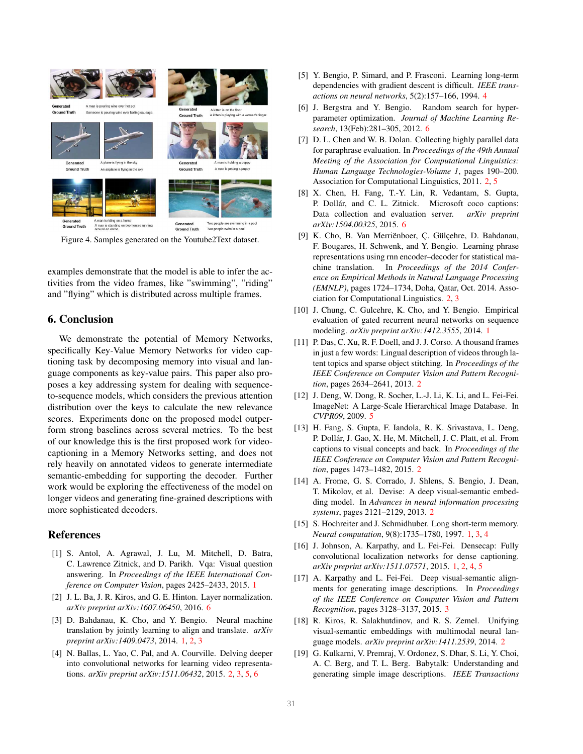

<span id="page-6-19"></span>Figure 4. Samples generated on the Youtube2Text dataset.

examples demonstrate that the model is able to infer the activities from the video frames, like "swimming", "riding" and "flying" which is distributed across multiple frames.

# 6. Conclusion

We demonstrate the potential of Memory Networks, specifically Key-Value Memory Networks for video captioning task by decomposing memory into visual and language components as key-value pairs. This paper also proposes a key addressing system for dealing with sequenceto-sequence models, which considers the previous attention distribution over the keys to calculate the new relevance scores. Experiments done on the proposed model outperform strong baselines across several metrics. To the best of our knowledge this is the first proposed work for videocaptioning in a Memory Networks setting, and does not rely heavily on annotated videos to generate intermediate semantic-embedding for supporting the decoder. Further work would be exploring the effectiveness of the model on longer videos and generating fine-grained descriptions with more sophisticated decoders.

### References

- <span id="page-6-3"></span>[1] S. Antol, A. Agrawal, J. Lu, M. Mitchell, D. Batra, C. Lawrence Zitnick, and D. Parikh. Vqa: Visual question answering. In *Proceedings of the IEEE International Conference on Computer Vision*, pages 2425–2433, 2015. [1](#page-0-1)
- <span id="page-6-18"></span>[2] J. L. Ba, J. R. Kiros, and G. E. Hinton. Layer normalization. *arXiv preprint arXiv:1607.06450*, 2016. [6](#page-5-1)
- <span id="page-6-4"></span>[3] D. Bahdanau, K. Cho, and Y. Bengio. Neural machine translation by jointly learning to align and translate. *arXiv preprint arXiv:1409.0473*, 2014. [1,](#page-0-1) [2,](#page-1-0) [3](#page-2-2)
- <span id="page-6-12"></span>[4] N. Ballas, L. Yao, C. Pal, and A. Courville. Delving deeper into convolutional networks for learning video representations. *arXiv preprint arXiv:1511.06432*, 2015. [2,](#page-1-0) [3,](#page-2-2) [5,](#page-4-2) [6](#page-5-1)
- <span id="page-6-14"></span>[5] Y. Bengio, P. Simard, and P. Frasconi. Learning long-term dependencies with gradient descent is difficult. *IEEE transactions on neural networks*, 5(2):157–166, 1994. [4](#page-3-1)
- <span id="page-6-17"></span>[6] J. Bergstra and Y. Bengio. Random search for hyperparameter optimization. *Journal of Machine Learning Research*, 13(Feb):281–305, 2012. [6](#page-5-1)
- <span id="page-6-5"></span>[7] D. L. Chen and W. B. Dolan. Collecting highly parallel data for paraphrase evaluation. In *Proceedings of the 49th Annual Meeting of the Association for Computational Linguistics: Human Language Technologies-Volume 1*, pages 190–200. Association for Computational Linguistics, 2011. [2,](#page-1-0) [5](#page-4-2)
- <span id="page-6-16"></span>[8] X. Chen, H. Fang, T.-Y. Lin, R. Vedantam, S. Gupta, P. Dollár, and C. L. Zitnick. Microsoft coco captions: Data collection and evaluation server. *arXiv preprint arXiv:1504.00325*, 2015. [6](#page-5-1)
- <span id="page-6-11"></span>[9] K. Cho, B. Van Merriënboer, Ç. Gülçehre, D. Bahdanau, F. Bougares, H. Schwenk, and Y. Bengio. Learning phrase representations using rnn encoder–decoder for statistical machine translation. In *Proceedings of the 2014 Conference on Empirical Methods in Natural Language Processing (EMNLP)*, pages 1724–1734, Doha, Qatar, Oct. 2014. Association for Computational Linguistics. [2,](#page-1-0) [3](#page-2-2)
- <span id="page-6-1"></span>[10] J. Chung, C. Gulcehre, K. Cho, and Y. Bengio. Empirical evaluation of gated recurrent neural networks on sequence modeling. *arXiv preprint arXiv:1412.3555*, 2014. [1](#page-0-1)
- <span id="page-6-7"></span>[11] P. Das, C. Xu, R. F. Doell, and J. J. Corso. A thousand frames in just a few words: Lingual description of videos through latent topics and sparse object stitching. In *Proceedings of the IEEE Conference on Computer Vision and Pattern Recognition*, pages 2634–2641, 2013. [2](#page-1-0)
- <span id="page-6-15"></span>[12] J. Deng, W. Dong, R. Socher, L.-J. Li, K. Li, and L. Fei-Fei. ImageNet: A Large-Scale Hierarchical Image Database. In *CVPR09*, 2009. [5](#page-4-2)
- <span id="page-6-8"></span>[13] H. Fang, S. Gupta, F. Iandola, R. K. Srivastava, L. Deng, P. Dollár, J. Gao, X. He, M. Mitchell, J. C. Platt, et al. From captions to visual concepts and back. In *Proceedings of the IEEE Conference on Computer Vision and Pattern Recognition*, pages 1473–1482, 2015. [2](#page-1-0)
- <span id="page-6-9"></span>[14] A. Frome, G. S. Corrado, J. Shlens, S. Bengio, J. Dean, T. Mikolov, et al. Devise: A deep visual-semantic embedding model. In *Advances in neural information processing systems*, pages 2121–2129, 2013. [2](#page-1-0)
- <span id="page-6-0"></span>[15] S. Hochreiter and J. Schmidhuber. Long short-term memory. *Neural computation*, 9(8):1735–1780, 1997. [1,](#page-0-1) [3,](#page-2-2) [4](#page-3-1)
- <span id="page-6-2"></span>[16] J. Johnson, A. Karpathy, and L. Fei-Fei. Densecap: Fully convolutional localization networks for dense captioning. *arXiv preprint arXiv:1511.07571*, 2015. [1,](#page-0-1) [2,](#page-1-0) [4,](#page-3-1) [5](#page-4-2)
- <span id="page-6-13"></span>[17] A. Karpathy and L. Fei-Fei. Deep visual-semantic alignments for generating image descriptions. In *Proceedings of the IEEE Conference on Computer Vision and Pattern Recognition*, pages 3128–3137, 2015. [3](#page-2-2)
- <span id="page-6-10"></span>[18] R. Kiros, R. Salakhutdinov, and R. S. Zemel. Unifying visual-semantic embeddings with multimodal neural language models. *arXiv preprint arXiv:1411.2539*, 2014. [2](#page-1-0)
- <span id="page-6-6"></span>[19] G. Kulkarni, V. Premraj, V. Ordonez, S. Dhar, S. Li, Y. Choi, A. C. Berg, and T. L. Berg. Babytalk: Understanding and generating simple image descriptions. *IEEE Transactions*